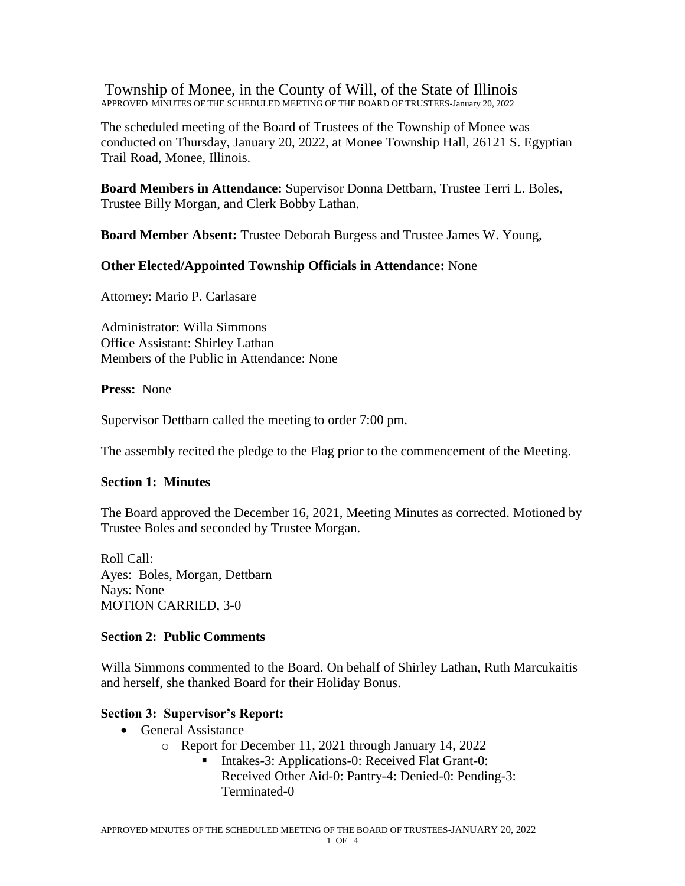Township of Monee, in the County of Will, of the State of Illinois APPROVED MINUTES OF THE SCHEDULED MEETING OF THE BOARD OF TRUSTEES-January 20, 2022

The scheduled meeting of the Board of Trustees of the Township of Monee was conducted on Thursday, January 20, 2022, at Monee Township Hall, 26121 S. Egyptian Trail Road, Monee, Illinois.

**Board Members in Attendance:** Supervisor Donna Dettbarn, Trustee Terri L. Boles, Trustee Billy Morgan, and Clerk Bobby Lathan.

**Board Member Absent:** Trustee Deborah Burgess and Trustee James W. Young,

#### **Other Elected/Appointed Township Officials in Attendance:** None

Attorney: Mario P. Carlasare

Administrator: Willa Simmons Office Assistant: Shirley Lathan Members of the Public in Attendance: None

**Press:** None

Supervisor Dettbarn called the meeting to order 7:00 pm.

The assembly recited the pledge to the Flag prior to the commencement of the Meeting.

#### **Section 1: Minutes**

The Board approved the December 16, 2021, Meeting Minutes as corrected. Motioned by Trustee Boles and seconded by Trustee Morgan.

Roll Call: Ayes: Boles, Morgan, Dettbarn Nays: None MOTION CARRIED, 3-0

### **Section 2: Public Comments**

Willa Simmons commented to the Board. On behalf of Shirley Lathan, Ruth Marcukaitis and herself, she thanked Board for their Holiday Bonus.

### **Section 3: Supervisor's Report:**

- General Assistance
	- o Report for December 11, 2021 through January 14, 2022
		- Intakes-3: Applications-0: Received Flat Grant-0: Received Other Aid-0: Pantry-4: Denied-0: Pending-3: Terminated-0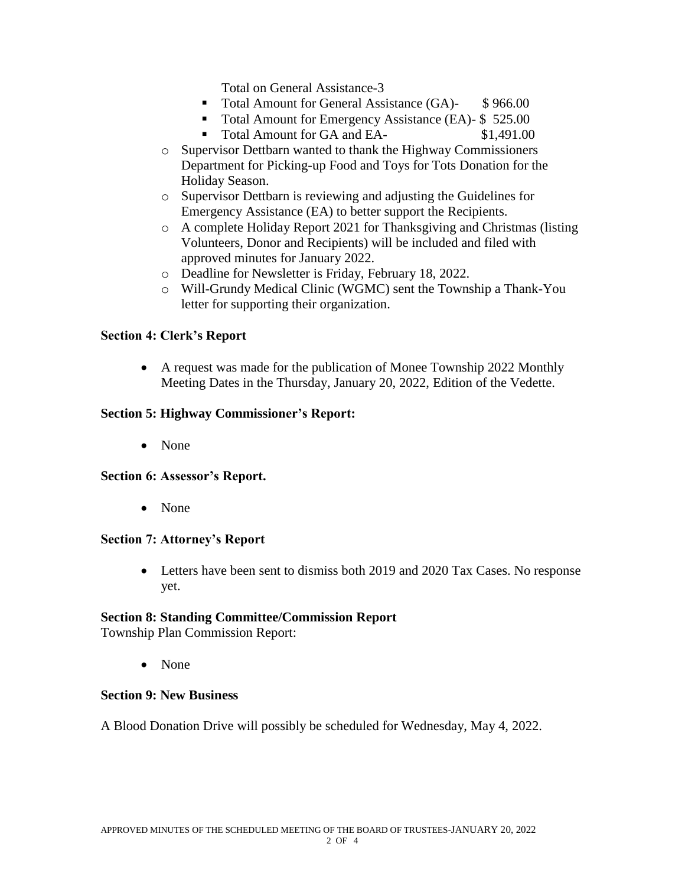Total on General Assistance-3

- Total Amount for General Assistance (GA)- \$966.00
- Total Amount for Emergency Assistance (EA)- \$ 525.00
- Total Amount for GA and EA- \$1,491.00
- o Supervisor Dettbarn wanted to thank the Highway Commissioners Department for Picking-up Food and Toys for Tots Donation for the Holiday Season.
- o Supervisor Dettbarn is reviewing and adjusting the Guidelines for Emergency Assistance (EA) to better support the Recipients.
- o A complete Holiday Report 2021 for Thanksgiving and Christmas (listing Volunteers, Donor and Recipients) will be included and filed with approved minutes for January 2022.
- o Deadline for Newsletter is Friday, February 18, 2022.
- o Will-Grundy Medical Clinic (WGMC) sent the Township a Thank-You letter for supporting their organization.

### **Section 4: Clerk's Report**

• A request was made for the publication of Monee Township 2022 Monthly Meeting Dates in the Thursday, January 20, 2022, Edition of the Vedette.

### **Section 5: Highway Commissioner's Report:**

• None

### **Section 6: Assessor's Report.**

• None

### **Section 7: Attorney's Report**

 Letters have been sent to dismiss both 2019 and 2020 Tax Cases. No response yet.

### **Section 8: Standing Committee/Commission Report**

Township Plan Commission Report:

• None

### **Section 9: New Business**

A Blood Donation Drive will possibly be scheduled for Wednesday, May 4, 2022.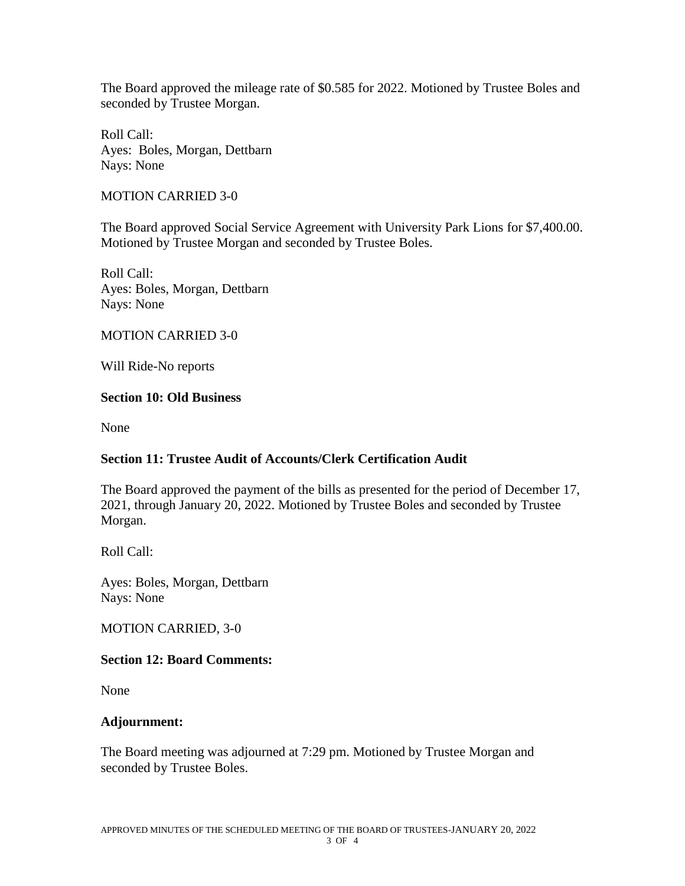The Board approved the mileage rate of \$0.585 for 2022. Motioned by Trustee Boles and seconded by Trustee Morgan.

Roll Call: Ayes: Boles, Morgan, Dettbarn Nays: None

MOTION CARRIED 3-0

The Board approved Social Service Agreement with University Park Lions for \$7,400.00. Motioned by Trustee Morgan and seconded by Trustee Boles.

Roll Call: Ayes: Boles, Morgan, Dettbarn Nays: None

MOTION CARRIED 3-0

Will Ride-No reports

### **Section 10: Old Business**

None

# **Section 11: Trustee Audit of Accounts/Clerk Certification Audit**

The Board approved the payment of the bills as presented for the period of December 17, 2021, through January 20, 2022. Motioned by Trustee Boles and seconded by Trustee Morgan.

Roll Call:

Ayes: Boles, Morgan, Dettbarn Nays: None

MOTION CARRIED, 3-0

# **Section 12: Board Comments:**

None

### **Adjournment:**

The Board meeting was adjourned at 7:29 pm. Motioned by Trustee Morgan and seconded by Trustee Boles.